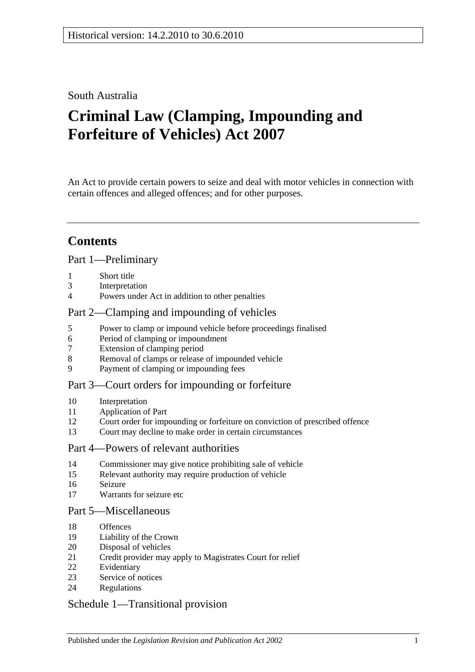### South Australia

# **Criminal Law (Clamping, Impounding and Forfeiture of Vehicles) Act 2007**

An Act to provide certain powers to seize and deal with motor vehicles in connection with certain offences and alleged offences; and for other purposes.

## **Contents**

### [Part 1—Preliminary](#page-1-0)

- [Short title](#page-1-1)
- [Interpretation](#page-1-2)
- [Powers under Act in addition to other penalties](#page-2-0)

### [Part 2—Clamping and impounding of vehicles](#page-2-1)

- [Power to clamp or impound vehicle before proceedings finalised](#page-2-2)
- [Period of clamping or impoundment](#page-3-0)
- [Extension of clamping period](#page-3-1)
- [Removal of clamps or release of impounded vehicle](#page-4-0)
- [Payment of clamping or impounding fees](#page-5-0)

### [Part 3—Court orders for impounding or forfeiture](#page-5-1)

- [Interpretation](#page-5-2)
- [Application of Part](#page-5-3)
- [Court order for impounding or forfeiture on conviction of prescribed offence](#page-6-0)
- [Court may decline to make order in certain circumstances](#page-7-0)

#### [Part 4—Powers of relevant authorities](#page-8-0)

- [Commissioner may give notice prohibiting sale of vehicle](#page-8-1)
- [Relevant authority may require production of vehicle](#page-9-0)
- [Seizure](#page-9-1)
- [Warrants for seizure etc](#page-10-0)

#### [Part 5—Miscellaneous](#page-11-0)

- [Offences](#page-11-1)
- [Liability of the Crown](#page-11-2)
- [Disposal of vehicles](#page-12-0)
- [Credit provider may apply to Magistrates Court for relief](#page-13-0)
- [Evidentiary](#page-14-0)
- [Service of notices](#page-14-1)
- [Regulations](#page-15-0)

### [Schedule 1—Transitional provision](#page-15-1)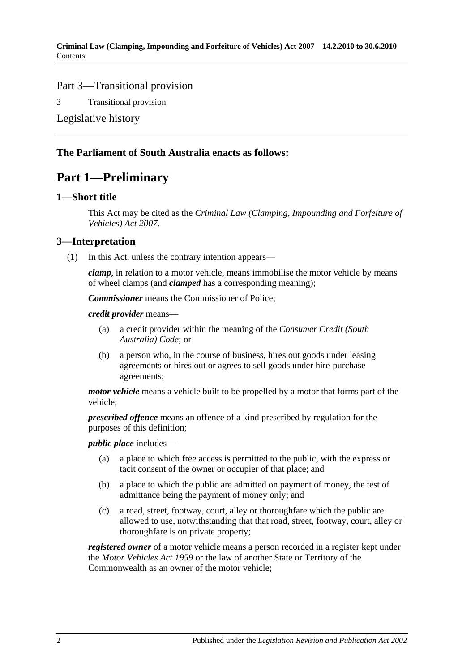### Part 3—Transitional provision

3 [Transitional provision](#page-15-2)

[Legislative history](#page-16-0)

### <span id="page-1-0"></span>**The Parliament of South Australia enacts as follows:**

### **Part 1—Preliminary**

### <span id="page-1-1"></span>**1—Short title**

This Act may be cited as the *Criminal Law (Clamping, Impounding and Forfeiture of Vehicles) Act 2007*.

### <span id="page-1-2"></span>**3—Interpretation**

(1) In this Act, unless the contrary intention appears—

*clamp*, in relation to a motor vehicle, means immobilise the motor vehicle by means of wheel clamps (and *clamped* has a corresponding meaning);

*Commissioner* means the Commissioner of Police;

*credit provider* means—

- (a) a credit provider within the meaning of the *Consumer Credit (South Australia) Code*; or
- (b) a person who, in the course of business, hires out goods under leasing agreements or hires out or agrees to sell goods under hire-purchase agreements;

*motor vehicle* means a vehicle built to be propelled by a motor that forms part of the vehicle;

*prescribed offence* means an offence of a kind prescribed by regulation for the purposes of this definition;

*public place* includes—

- (a) a place to which free access is permitted to the public, with the express or tacit consent of the owner or occupier of that place; and
- (b) a place to which the public are admitted on payment of money, the test of admittance being the payment of money only; and
- (c) a road, street, footway, court, alley or thoroughfare which the public are allowed to use, notwithstanding that that road, street, footway, court, alley or thoroughfare is on private property;

*registered owner* of a motor vehicle means a person recorded in a register kept under the *[Motor Vehicles Act](http://www.legislation.sa.gov.au/index.aspx?action=legref&type=act&legtitle=Motor%20Vehicles%20Act%201959) 1959* or the law of another State or Territory of the Commonwealth as an owner of the motor vehicle;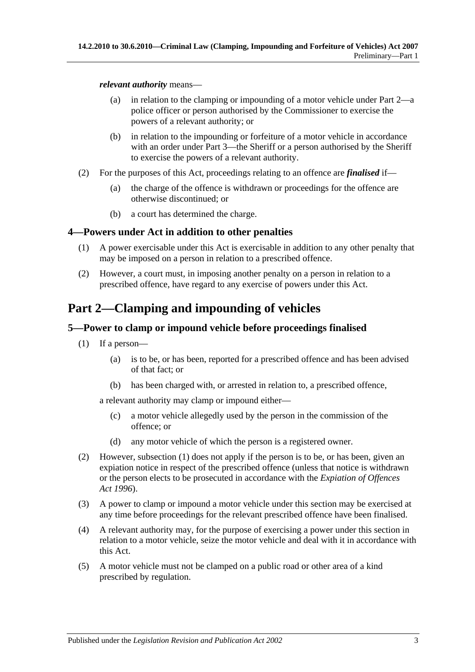#### *relevant authority* means—

- (a) in relation to the clamping or impounding of a motor vehicle under [Part 2—](#page-2-1)a police officer or person authorised by the Commissioner to exercise the powers of a relevant authority; or
- (b) in relation to the impounding or forfeiture of a motor vehicle in accordance with an order under [Part 3—](#page-5-1)the Sheriff or a person authorised by the Sheriff to exercise the powers of a relevant authority.
- (2) For the purposes of this Act, proceedings relating to an offence are *finalised* if—
	- (a) the charge of the offence is withdrawn or proceedings for the offence are otherwise discontinued; or
	- (b) a court has determined the charge.

### <span id="page-2-0"></span>**4—Powers under Act in addition to other penalties**

- (1) A power exercisable under this Act is exercisable in addition to any other penalty that may be imposed on a person in relation to a prescribed offence.
- (2) However, a court must, in imposing another penalty on a person in relation to a prescribed offence, have regard to any exercise of powers under this Act.

## <span id="page-2-1"></span>**Part 2—Clamping and impounding of vehicles**

### <span id="page-2-3"></span><span id="page-2-2"></span>**5—Power to clamp or impound vehicle before proceedings finalised**

- (1) If a person—
	- (a) is to be, or has been, reported for a prescribed offence and has been advised of that fact; or
	- (b) has been charged with, or arrested in relation to, a prescribed offence,

<span id="page-2-4"></span>a relevant authority may clamp or impound either—

- (c) a motor vehicle allegedly used by the person in the commission of the offence; or
- (d) any motor vehicle of which the person is a registered owner.
- (2) However, [subsection](#page-2-3) (1) does not apply if the person is to be, or has been, given an expiation notice in respect of the prescribed offence (unless that notice is withdrawn or the person elects to be prosecuted in accordance with the *[Expiation of Offences](http://www.legislation.sa.gov.au/index.aspx?action=legref&type=act&legtitle=Expiation%20of%20Offences%20Act%201996)  Act [1996](http://www.legislation.sa.gov.au/index.aspx?action=legref&type=act&legtitle=Expiation%20of%20Offences%20Act%201996)*).
- (3) A power to clamp or impound a motor vehicle under this section may be exercised at any time before proceedings for the relevant prescribed offence have been finalised.
- (4) A relevant authority may, for the purpose of exercising a power under this section in relation to a motor vehicle, seize the motor vehicle and deal with it in accordance with this Act.
- (5) A motor vehicle must not be clamped on a public road or other area of a kind prescribed by regulation.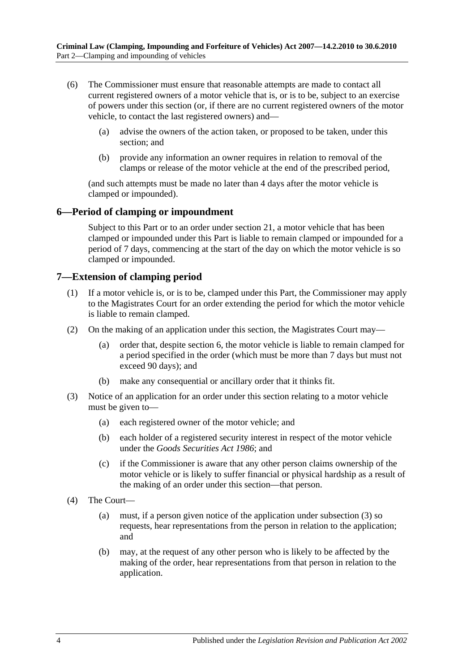- (6) The Commissioner must ensure that reasonable attempts are made to contact all current registered owners of a motor vehicle that is, or is to be, subject to an exercise of powers under this section (or, if there are no current registered owners of the motor vehicle, to contact the last registered owners) and—
	- (a) advise the owners of the action taken, or proposed to be taken, under this section; and
	- (b) provide any information an owner requires in relation to removal of the clamps or release of the motor vehicle at the end of the prescribed period,

(and such attempts must be made no later than 4 days after the motor vehicle is clamped or impounded).

### <span id="page-3-0"></span>**6—Period of clamping or impoundment**

Subject to this Part or to an order under [section](#page-13-0) 21, a motor vehicle that has been clamped or impounded under this Part is liable to remain clamped or impounded for a period of 7 days, commencing at the start of the day on which the motor vehicle is so clamped or impounded.

### <span id="page-3-1"></span>**7—Extension of clamping period**

- (1) If a motor vehicle is, or is to be, clamped under this Part, the Commissioner may apply to the Magistrates Court for an order extending the period for which the motor vehicle is liable to remain clamped.
- (2) On the making of an application under this section, the Magistrates Court may—
	- (a) order that, despite [section](#page-3-0) 6, the motor vehicle is liable to remain clamped for a period specified in the order (which must be more than 7 days but must not exceed 90 days); and
	- (b) make any consequential or ancillary order that it thinks fit.
- <span id="page-3-2"></span>(3) Notice of an application for an order under this section relating to a motor vehicle must be given to—
	- (a) each registered owner of the motor vehicle; and
	- (b) each holder of a registered security interest in respect of the motor vehicle under the *[Goods Securities Act](http://www.legislation.sa.gov.au/index.aspx?action=legref&type=act&legtitle=Goods%20Securities%20Act%201986) 1986*; and
	- (c) if the Commissioner is aware that any other person claims ownership of the motor vehicle or is likely to suffer financial or physical hardship as a result of the making of an order under this section—that person.
- (4) The Court—
	- (a) must, if a person given notice of the application under [subsection](#page-3-2) (3) so requests, hear representations from the person in relation to the application; and
	- (b) may, at the request of any other person who is likely to be affected by the making of the order, hear representations from that person in relation to the application.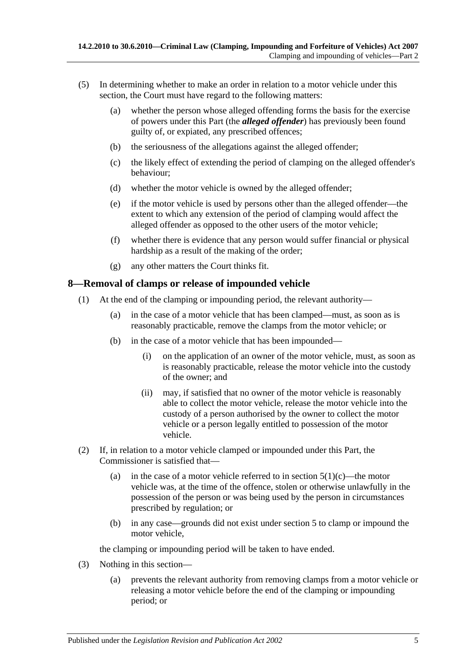- (5) In determining whether to make an order in relation to a motor vehicle under this section, the Court must have regard to the following matters:
	- (a) whether the person whose alleged offending forms the basis for the exercise of powers under this Part (the *alleged offender*) has previously been found guilty of, or expiated, any prescribed offences;
	- (b) the seriousness of the allegations against the alleged offender;
	- (c) the likely effect of extending the period of clamping on the alleged offender's behaviour;
	- (d) whether the motor vehicle is owned by the alleged offender;
	- (e) if the motor vehicle is used by persons other than the alleged offender—the extent to which any extension of the period of clamping would affect the alleged offender as opposed to the other users of the motor vehicle;
	- (f) whether there is evidence that any person would suffer financial or physical hardship as a result of the making of the order;
	- (g) any other matters the Court thinks fit.

### <span id="page-4-0"></span>**8—Removal of clamps or release of impounded vehicle**

- (1) At the end of the clamping or impounding period, the relevant authority—
	- (a) in the case of a motor vehicle that has been clamped—must, as soon as is reasonably practicable, remove the clamps from the motor vehicle; or
	- (b) in the case of a motor vehicle that has been impounded—
		- (i) on the application of an owner of the motor vehicle, must, as soon as is reasonably practicable, release the motor vehicle into the custody of the owner; and
		- (ii) may, if satisfied that no owner of the motor vehicle is reasonably able to collect the motor vehicle, release the motor vehicle into the custody of a person authorised by the owner to collect the motor vehicle or a person legally entitled to possession of the motor vehicle.
- (2) If, in relation to a motor vehicle clamped or impounded under this Part, the Commissioner is satisfied that
	- (a) in the case of a motor vehicle referred to in [section](#page-2-4)  $5(1)(c)$ —the motor vehicle was, at the time of the offence, stolen or otherwise unlawfully in the possession of the person or was being used by the person in circumstances prescribed by regulation; or
	- (b) in any case—grounds did not exist under [section](#page-2-2) 5 to clamp or impound the motor vehicle,

the clamping or impounding period will be taken to have ended.

- (3) Nothing in this section—
	- (a) prevents the relevant authority from removing clamps from a motor vehicle or releasing a motor vehicle before the end of the clamping or impounding period; or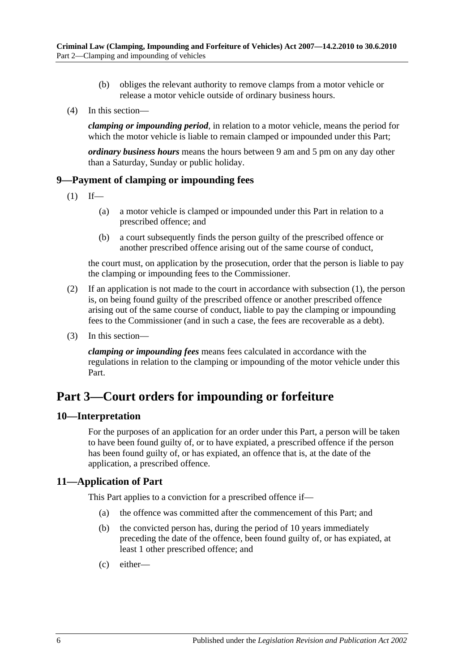- (b) obliges the relevant authority to remove clamps from a motor vehicle or release a motor vehicle outside of ordinary business hours.
- (4) In this section—

*clamping or impounding period*, in relation to a motor vehicle, means the period for which the motor vehicle is liable to remain clamped or impounded under this Part;

*ordinary business hours* means the hours between 9 am and 5 pm on any day other than a Saturday, Sunday or public holiday.

### <span id="page-5-4"></span><span id="page-5-0"></span>**9—Payment of clamping or impounding fees**

- $(1)$  If—
	- (a) a motor vehicle is clamped or impounded under this Part in relation to a prescribed offence; and
	- (b) a court subsequently finds the person guilty of the prescribed offence or another prescribed offence arising out of the same course of conduct,

the court must, on application by the prosecution, order that the person is liable to pay the clamping or impounding fees to the Commissioner.

- (2) If an application is not made to the court in accordance with [subsection](#page-5-4) (1), the person is, on being found guilty of the prescribed offence or another prescribed offence arising out of the same course of conduct, liable to pay the clamping or impounding fees to the Commissioner (and in such a case, the fees are recoverable as a debt).
- (3) In this section—

*clamping or impounding fees* means fees calculated in accordance with the regulations in relation to the clamping or impounding of the motor vehicle under this Part.

## <span id="page-5-1"></span>**Part 3—Court orders for impounding or forfeiture**

#### <span id="page-5-2"></span>**10—Interpretation**

For the purposes of an application for an order under this Part, a person will be taken to have been found guilty of, or to have expiated, a prescribed offence if the person has been found guilty of, or has expiated, an offence that is, at the date of the application, a prescribed offence.

### <span id="page-5-3"></span>**11—Application of Part**

This Part applies to a conviction for a prescribed offence if—

- (a) the offence was committed after the commencement of this Part; and
- (b) the convicted person has, during the period of 10 years immediately preceding the date of the offence, been found guilty of, or has expiated, at least 1 other prescribed offence; and
- (c) either—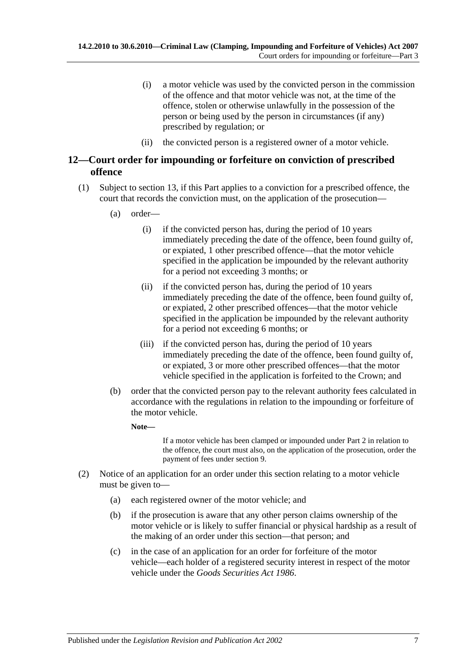- (i) a motor vehicle was used by the convicted person in the commission of the offence and that motor vehicle was not, at the time of the offence, stolen or otherwise unlawfully in the possession of the person or being used by the person in circumstances (if any) prescribed by regulation; or
- (ii) the convicted person is a registered owner of a motor vehicle.

### <span id="page-6-2"></span><span id="page-6-0"></span>**12—Court order for impounding or forfeiture on conviction of prescribed offence**

- (1) Subject to [section](#page-7-0) 13, if this Part applies to a conviction for a prescribed offence, the court that records the conviction must, on the application of the prosecution—
	- (a) order—
		- (i) if the convicted person has, during the period of 10 years immediately preceding the date of the offence, been found guilty of, or expiated, 1 other prescribed offence—that the motor vehicle specified in the application be impounded by the relevant authority for a period not exceeding 3 months; or
		- (ii) if the convicted person has, during the period of 10 years immediately preceding the date of the offence, been found guilty of, or expiated, 2 other prescribed offences—that the motor vehicle specified in the application be impounded by the relevant authority for a period not exceeding 6 months; or
		- (iii) if the convicted person has, during the period of 10 years immediately preceding the date of the offence, been found guilty of, or expiated, 3 or more other prescribed offences—that the motor vehicle specified in the application is forfeited to the Crown; and
	- (b) order that the convicted person pay to the relevant authority fees calculated in accordance with the regulations in relation to the impounding or forfeiture of the motor vehicle.
		- **Note—**

If a motor vehicle has been clamped or impounded under [Part 2](#page-2-1) in relation to the offence, the court must also, on the application of the prosecution, order the payment of fees under [section](#page-5-0) 9.

- <span id="page-6-1"></span>(2) Notice of an application for an order under this section relating to a motor vehicle must be given to—
	- (a) each registered owner of the motor vehicle; and
	- (b) if the prosecution is aware that any other person claims ownership of the motor vehicle or is likely to suffer financial or physical hardship as a result of the making of an order under this section—that person; and
	- (c) in the case of an application for an order for forfeiture of the motor vehicle—each holder of a registered security interest in respect of the motor vehicle under the *[Goods Securities Act](http://www.legislation.sa.gov.au/index.aspx?action=legref&type=act&legtitle=Goods%20Securities%20Act%201986) 1986*.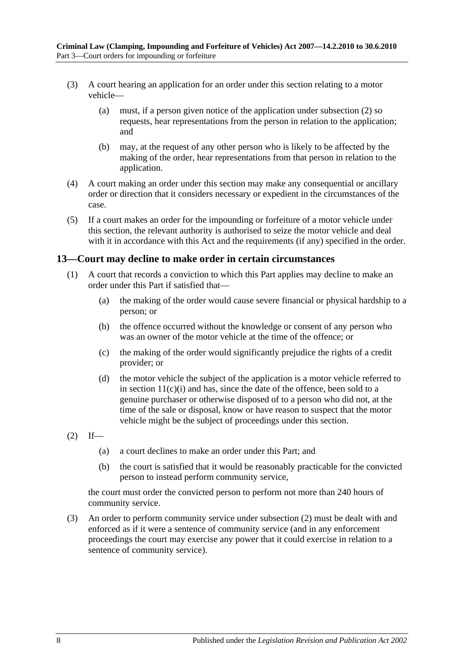- (3) A court hearing an application for an order under this section relating to a motor vehicle—
	- (a) must, if a person given notice of the application under [subsection](#page-6-1) (2) so requests, hear representations from the person in relation to the application; and
	- (b) may, at the request of any other person who is likely to be affected by the making of the order, hear representations from that person in relation to the application.
- (4) A court making an order under this section may make any consequential or ancillary order or direction that it considers necessary or expedient in the circumstances of the case.
- (5) If a court makes an order for the impounding or forfeiture of a motor vehicle under this section, the relevant authority is authorised to seize the motor vehicle and deal with it in accordance with this Act and the requirements (if any) specified in the order.

### <span id="page-7-0"></span>**13—Court may decline to make order in certain circumstances**

- (1) A court that records a conviction to which this Part applies may decline to make an order under this Part if satisfied that—
	- (a) the making of the order would cause severe financial or physical hardship to a person; or
	- (b) the offence occurred without the knowledge or consent of any person who was an owner of the motor vehicle at the time of the offence; or
	- (c) the making of the order would significantly prejudice the rights of a credit provider; or
	- (d) the motor vehicle the subject of the application is a motor vehicle referred to in section  $11(c)(i)$  and has, since the date of the offence, been sold to a genuine purchaser or otherwise disposed of to a person who did not, at the time of the sale or disposal, know or have reason to suspect that the motor vehicle might be the subject of proceedings under this section.
- <span id="page-7-1"></span> $(2)$  If—
	- (a) a court declines to make an order under this Part; and
	- (b) the court is satisfied that it would be reasonably practicable for the convicted person to instead perform community service,

the court must order the convicted person to perform not more than 240 hours of community service.

(3) An order to perform community service under [subsection](#page-7-1) (2) must be dealt with and enforced as if it were a sentence of community service (and in any enforcement proceedings the court may exercise any power that it could exercise in relation to a sentence of community service).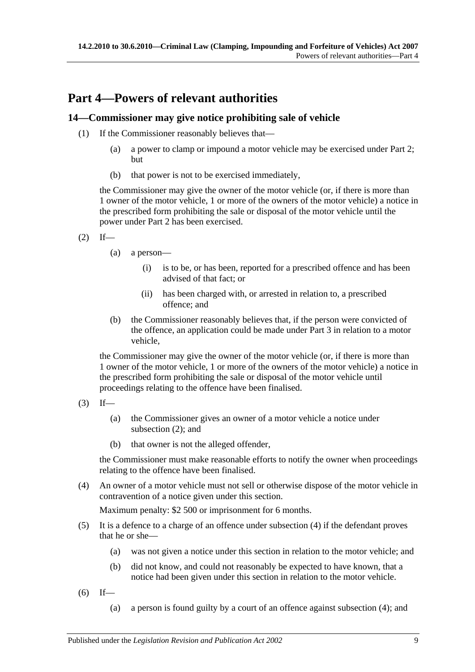## <span id="page-8-0"></span>**Part 4—Powers of relevant authorities**

### <span id="page-8-1"></span>**14—Commissioner may give notice prohibiting sale of vehicle**

- (1) If the Commissioner reasonably believes that—
	- (a) a power to clamp or impound a motor vehicle may be exercised under [Part 2;](#page-2-1) but
	- (b) that power is not to be exercised immediately,

the Commissioner may give the owner of the motor vehicle (or, if there is more than 1 owner of the motor vehicle, 1 or more of the owners of the motor vehicle) a notice in the prescribed form prohibiting the sale or disposal of the motor vehicle until the power under [Part 2](#page-2-1) has been exercised.

- <span id="page-8-2"></span> $(2)$  If—
	- (a) a person—
		- (i) is to be, or has been, reported for a prescribed offence and has been advised of that fact; or
		- (ii) has been charged with, or arrested in relation to, a prescribed offence; and
	- (b) the Commissioner reasonably believes that, if the person were convicted of the offence, an application could be made under [Part 3](#page-5-1) in relation to a motor vehicle,

the Commissioner may give the owner of the motor vehicle (or, if there is more than 1 owner of the motor vehicle, 1 or more of the owners of the motor vehicle) a notice in the prescribed form prohibiting the sale or disposal of the motor vehicle until proceedings relating to the offence have been finalised.

- $(3)$  If—
	- (a) the Commissioner gives an owner of a motor vehicle a notice under [subsection](#page-8-2) (2); and
	- (b) that owner is not the alleged offender,

the Commissioner must make reasonable efforts to notify the owner when proceedings relating to the offence have been finalised.

<span id="page-8-3"></span>(4) An owner of a motor vehicle must not sell or otherwise dispose of the motor vehicle in contravention of a notice given under this section.

Maximum penalty: \$2 500 or imprisonment for 6 months.

- (5) It is a defence to a charge of an offence under [subsection](#page-8-3) (4) if the defendant proves that he or she—
	- (a) was not given a notice under this section in relation to the motor vehicle; and
	- (b) did not know, and could not reasonably be expected to have known, that a notice had been given under this section in relation to the motor vehicle.
- <span id="page-8-4"></span> $(6)$  If—
	- (a) a person is found guilty by a court of an offence against [subsection](#page-8-3) (4); and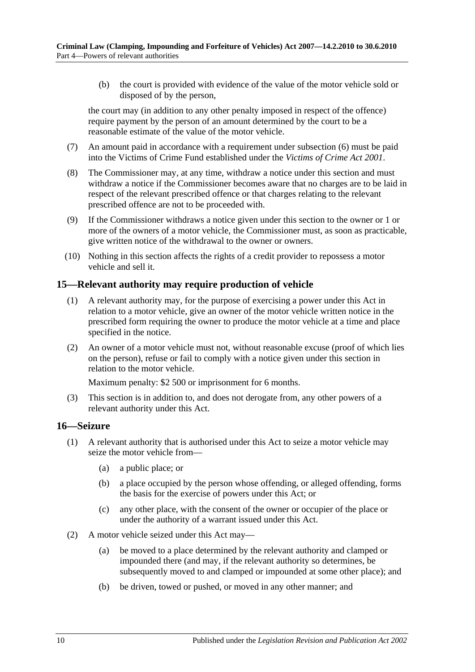(b) the court is provided with evidence of the value of the motor vehicle sold or disposed of by the person,

the court may (in addition to any other penalty imposed in respect of the offence) require payment by the person of an amount determined by the court to be a reasonable estimate of the value of the motor vehicle.

- (7) An amount paid in accordance with a requirement under [subsection](#page-8-4) (6) must be paid into the Victims of Crime Fund established under the *[Victims of Crime Act](http://www.legislation.sa.gov.au/index.aspx?action=legref&type=act&legtitle=Victims%20of%20Crime%20Act%202001) 2001*.
- (8) The Commissioner may, at any time, withdraw a notice under this section and must withdraw a notice if the Commissioner becomes aware that no charges are to be laid in respect of the relevant prescribed offence or that charges relating to the relevant prescribed offence are not to be proceeded with.
- (9) If the Commissioner withdraws a notice given under this section to the owner or 1 or more of the owners of a motor vehicle, the Commissioner must, as soon as practicable, give written notice of the withdrawal to the owner or owners.
- (10) Nothing in this section affects the rights of a credit provider to repossess a motor vehicle and sell it.

### <span id="page-9-0"></span>**15—Relevant authority may require production of vehicle**

- (1) A relevant authority may, for the purpose of exercising a power under this Act in relation to a motor vehicle, give an owner of the motor vehicle written notice in the prescribed form requiring the owner to produce the motor vehicle at a time and place specified in the notice.
- (2) An owner of a motor vehicle must not, without reasonable excuse (proof of which lies on the person), refuse or fail to comply with a notice given under this section in relation to the motor vehicle.

Maximum penalty: \$2 500 or imprisonment for 6 months.

(3) This section is in addition to, and does not derogate from, any other powers of a relevant authority under this Act.

#### <span id="page-9-1"></span>**16—Seizure**

- <span id="page-9-3"></span><span id="page-9-2"></span>(1) A relevant authority that is authorised under this Act to seize a motor vehicle may seize the motor vehicle from—
	- (a) a public place; or
	- (b) a place occupied by the person whose offending, or alleged offending, forms the basis for the exercise of powers under this Act; or
	- (c) any other place, with the consent of the owner or occupier of the place or under the authority of a warrant issued under this Act.
- (2) A motor vehicle seized under this Act may—
	- (a) be moved to a place determined by the relevant authority and clamped or impounded there (and may, if the relevant authority so determines, be subsequently moved to and clamped or impounded at some other place); and
	- (b) be driven, towed or pushed, or moved in any other manner; and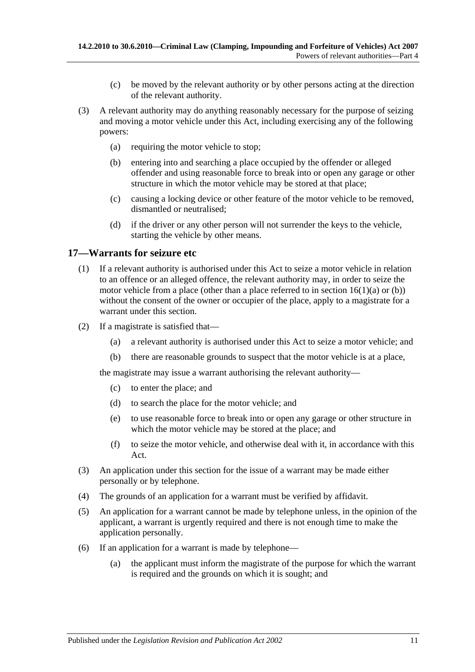- (c) be moved by the relevant authority or by other persons acting at the direction of the relevant authority.
- (3) A relevant authority may do anything reasonably necessary for the purpose of seizing and moving a motor vehicle under this Act, including exercising any of the following powers:
	- (a) requiring the motor vehicle to stop;
	- (b) entering into and searching a place occupied by the offender or alleged offender and using reasonable force to break into or open any garage or other structure in which the motor vehicle may be stored at that place;
	- (c) causing a locking device or other feature of the motor vehicle to be removed, dismantled or neutralised;
	- (d) if the driver or any other person will not surrender the keys to the vehicle, starting the vehicle by other means.

### <span id="page-10-0"></span>**17—Warrants for seizure etc**

- (1) If a relevant authority is authorised under this Act to seize a motor vehicle in relation to an offence or an alleged offence, the relevant authority may, in order to seize the motor vehicle from a place (other than a place referred to in section  $16(1)(a)$  or [\(b\)\)](#page-9-3) without the consent of the owner or occupier of the place, apply to a magistrate for a warrant under this section.
- (2) If a magistrate is satisfied that—
	- (a) a relevant authority is authorised under this Act to seize a motor vehicle; and
	- (b) there are reasonable grounds to suspect that the motor vehicle is at a place,

the magistrate may issue a warrant authorising the relevant authority—

- (c) to enter the place; and
- (d) to search the place for the motor vehicle; and
- (e) to use reasonable force to break into or open any garage or other structure in which the motor vehicle may be stored at the place; and
- (f) to seize the motor vehicle, and otherwise deal with it, in accordance with this Act.
- (3) An application under this section for the issue of a warrant may be made either personally or by telephone.
- (4) The grounds of an application for a warrant must be verified by affidavit.
- (5) An application for a warrant cannot be made by telephone unless, in the opinion of the applicant, a warrant is urgently required and there is not enough time to make the application personally.
- (6) If an application for a warrant is made by telephone—
	- (a) the applicant must inform the magistrate of the purpose for which the warrant is required and the grounds on which it is sought; and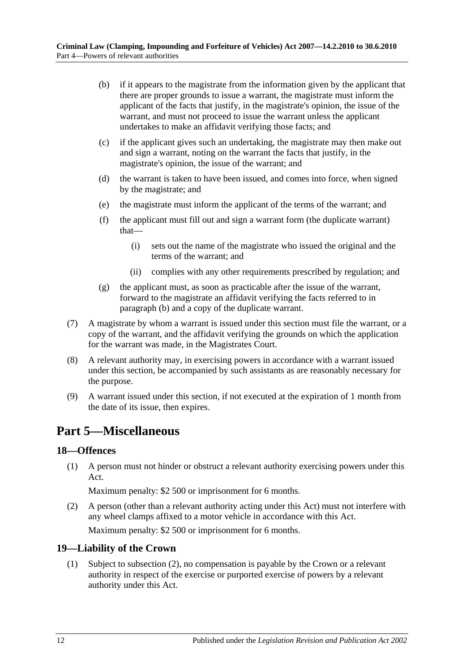- <span id="page-11-3"></span>(b) if it appears to the magistrate from the information given by the applicant that there are proper grounds to issue a warrant, the magistrate must inform the applicant of the facts that justify, in the magistrate's opinion, the issue of the warrant, and must not proceed to issue the warrant unless the applicant undertakes to make an affidavit verifying those facts; and
- (c) if the applicant gives such an undertaking, the magistrate may then make out and sign a warrant, noting on the warrant the facts that justify, in the magistrate's opinion, the issue of the warrant; and
- (d) the warrant is taken to have been issued, and comes into force, when signed by the magistrate; and
- (e) the magistrate must inform the applicant of the terms of the warrant; and
- (f) the applicant must fill out and sign a warrant form (the duplicate warrant) that—
	- (i) sets out the name of the magistrate who issued the original and the terms of the warrant; and
	- (ii) complies with any other requirements prescribed by regulation; and
- (g) the applicant must, as soon as practicable after the issue of the warrant, forward to the magistrate an affidavit verifying the facts referred to in [paragraph](#page-11-3) (b) and a copy of the duplicate warrant.
- (7) A magistrate by whom a warrant is issued under this section must file the warrant, or a copy of the warrant, and the affidavit verifying the grounds on which the application for the warrant was made, in the Magistrates Court.
- (8) A relevant authority may, in exercising powers in accordance with a warrant issued under this section, be accompanied by such assistants as are reasonably necessary for the purpose.
- (9) A warrant issued under this section, if not executed at the expiration of 1 month from the date of its issue, then expires.

## <span id="page-11-0"></span>**Part 5—Miscellaneous**

### <span id="page-11-1"></span>**18—Offences**

(1) A person must not hinder or obstruct a relevant authority exercising powers under this Act.

Maximum penalty: \$2 500 or imprisonment for 6 months.

(2) A person (other than a relevant authority acting under this Act) must not interfere with any wheel clamps affixed to a motor vehicle in accordance with this Act.

Maximum penalty: \$2 500 or imprisonment for 6 months.

### <span id="page-11-2"></span>**19—Liability of the Crown**

(1) Subject to [subsection](#page-12-1) (2), no compensation is payable by the Crown or a relevant authority in respect of the exercise or purported exercise of powers by a relevant authority under this Act.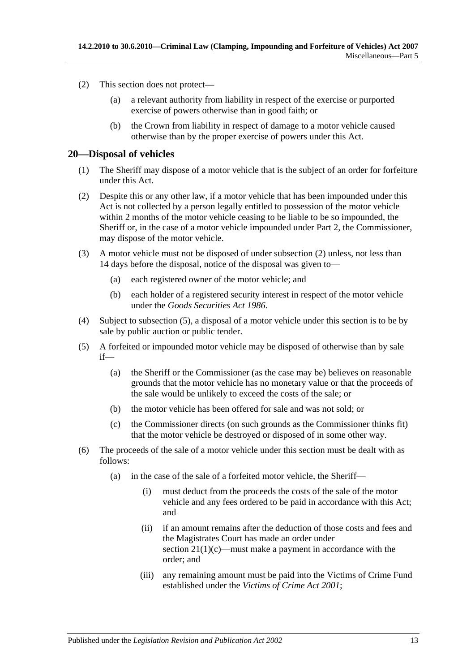- <span id="page-12-1"></span>(2) This section does not protect—
	- (a) a relevant authority from liability in respect of the exercise or purported exercise of powers otherwise than in good faith; or
	- (b) the Crown from liability in respect of damage to a motor vehicle caused otherwise than by the proper exercise of powers under this Act.

### <span id="page-12-0"></span>**20—Disposal of vehicles**

- (1) The Sheriff may dispose of a motor vehicle that is the subject of an order for forfeiture under this Act.
- <span id="page-12-2"></span>(2) Despite this or any other law, if a motor vehicle that has been impounded under this Act is not collected by a person legally entitled to possession of the motor vehicle within 2 months of the motor vehicle ceasing to be liable to be so impounded, the Sheriff or, in the case of a motor vehicle impounded under [Part 2,](#page-2-1) the Commissioner, may dispose of the motor vehicle.
- (3) A motor vehicle must not be disposed of under [subsection](#page-12-2) (2) unless, not less than 14 days before the disposal, notice of the disposal was given to—
	- (a) each registered owner of the motor vehicle; and
	- (b) each holder of a registered security interest in respect of the motor vehicle under the *[Goods Securities Act](http://www.legislation.sa.gov.au/index.aspx?action=legref&type=act&legtitle=Goods%20Securities%20Act%201986) 1986*.
- (4) Subject to [subsection](#page-12-3) (5), a disposal of a motor vehicle under this section is to be by sale by public auction or public tender.
- <span id="page-12-3"></span>(5) A forfeited or impounded motor vehicle may be disposed of otherwise than by sale if—
	- (a) the Sheriff or the Commissioner (as the case may be) believes on reasonable grounds that the motor vehicle has no monetary value or that the proceeds of the sale would be unlikely to exceed the costs of the sale; or
	- (b) the motor vehicle has been offered for sale and was not sold; or
	- (c) the Commissioner directs (on such grounds as the Commissioner thinks fit) that the motor vehicle be destroyed or disposed of in some other way.
- <span id="page-12-4"></span>(6) The proceeds of the sale of a motor vehicle under this section must be dealt with as follows:
	- (a) in the case of the sale of a forfeited motor vehicle, the Sheriff—
		- (i) must deduct from the proceeds the costs of the sale of the motor vehicle and any fees ordered to be paid in accordance with this Act; and
		- (ii) if an amount remains after the deduction of those costs and fees and the Magistrates Court has made an order under section  $21(1)(c)$ —must make a payment in accordance with the order; and
		- (iii) any remaining amount must be paid into the Victims of Crime Fund established under the *[Victims of Crime Act](http://www.legislation.sa.gov.au/index.aspx?action=legref&type=act&legtitle=Victims%20of%20Crime%20Act%202001) 2001*;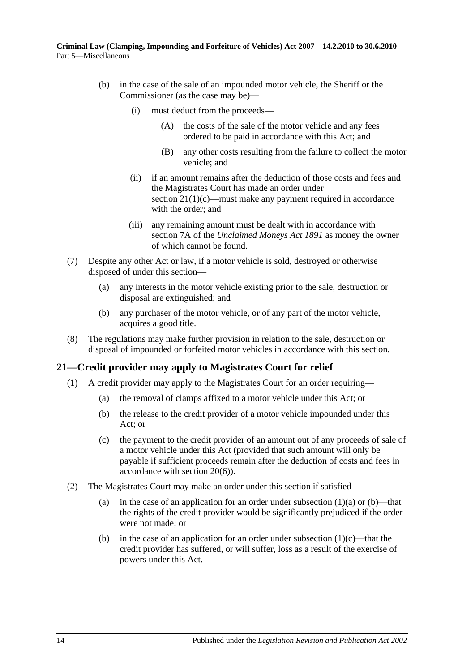- (b) in the case of the sale of an impounded motor vehicle, the Sheriff or the Commissioner (as the case may be)—
	- (i) must deduct from the proceeds—
		- (A) the costs of the sale of the motor vehicle and any fees ordered to be paid in accordance with this Act; and
		- (B) any other costs resulting from the failure to collect the motor vehicle; and
	- (ii) if an amount remains after the deduction of those costs and fees and the Magistrates Court has made an order under section  $21(1)(c)$ —must make any payment required in accordance with the order; and
	- (iii) any remaining amount must be dealt with in accordance with section 7A of the *[Unclaimed Moneys Act](http://www.legislation.sa.gov.au/index.aspx?action=legref&type=act&legtitle=Unclaimed%20Moneys%20Act%201891) 1891* as money the owner of which cannot be found.
- (7) Despite any other Act or law, if a motor vehicle is sold, destroyed or otherwise disposed of under this section—
	- (a) any interests in the motor vehicle existing prior to the sale, destruction or disposal are extinguished; and
	- (b) any purchaser of the motor vehicle, or of any part of the motor vehicle, acquires a good title.
- (8) The regulations may make further provision in relation to the sale, destruction or disposal of impounded or forfeited motor vehicles in accordance with this section.

### <span id="page-13-0"></span>**21—Credit provider may apply to Magistrates Court for relief**

- <span id="page-13-3"></span><span id="page-13-2"></span><span id="page-13-1"></span>(1) A credit provider may apply to the Magistrates Court for an order requiring—
	- (a) the removal of clamps affixed to a motor vehicle under this Act; or
	- (b) the release to the credit provider of a motor vehicle impounded under this Act; or
	- (c) the payment to the credit provider of an amount out of any proceeds of sale of a motor vehicle under this Act (provided that such amount will only be payable if sufficient proceeds remain after the deduction of costs and fees in accordance with [section](#page-12-4) 20(6)).
- (2) The Magistrates Court may make an order under this section if satisfied
	- (a) in the case of an application for an order under [subsection](#page-13-2)  $(1)(a)$  or  $(b)$ —that the rights of the credit provider would be significantly prejudiced if the order were not made; or
	- (b) in the case of an application for an order under [subsection](#page-13-1)  $(1)(c)$ —that the credit provider has suffered, or will suffer, loss as a result of the exercise of powers under this Act.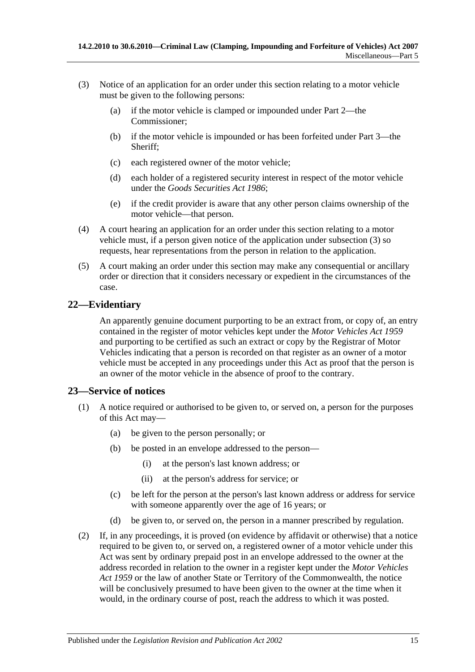- <span id="page-14-2"></span>(3) Notice of an application for an order under this section relating to a motor vehicle must be given to the following persons:
	- (a) if the motor vehicle is clamped or impounded under [Part 2—](#page-2-1)the Commissioner;
	- (b) if the motor vehicle is impounded or has been forfeited under [Part 3—](#page-5-1)the Sheriff;
	- (c) each registered owner of the motor vehicle;
	- (d) each holder of a registered security interest in respect of the motor vehicle under the *[Goods Securities Act](http://www.legislation.sa.gov.au/index.aspx?action=legref&type=act&legtitle=Goods%20Securities%20Act%201986) 1986*;
	- (e) if the credit provider is aware that any other person claims ownership of the motor vehicle—that person.
- (4) A court hearing an application for an order under this section relating to a motor vehicle must, if a person given notice of the application under [subsection](#page-14-2) (3) so requests, hear representations from the person in relation to the application.
- (5) A court making an order under this section may make any consequential or ancillary order or direction that it considers necessary or expedient in the circumstances of the case.

### <span id="page-14-0"></span>**22—Evidentiary**

An apparently genuine document purporting to be an extract from, or copy of, an entry contained in the register of motor vehicles kept under the *[Motor Vehicles Act](http://www.legislation.sa.gov.au/index.aspx?action=legref&type=act&legtitle=Motor%20Vehicles%20Act%201959) 1959* and purporting to be certified as such an extract or copy by the Registrar of Motor Vehicles indicating that a person is recorded on that register as an owner of a motor vehicle must be accepted in any proceedings under this Act as proof that the person is an owner of the motor vehicle in the absence of proof to the contrary.

### <span id="page-14-1"></span>**23—Service of notices**

- (1) A notice required or authorised to be given to, or served on, a person for the purposes of this Act may—
	- (a) be given to the person personally; or
	- (b) be posted in an envelope addressed to the person—
		- (i) at the person's last known address; or
		- (ii) at the person's address for service; or
	- (c) be left for the person at the person's last known address or address for service with someone apparently over the age of 16 years; or
	- (d) be given to, or served on, the person in a manner prescribed by regulation.
- (2) If, in any proceedings, it is proved (on evidence by affidavit or otherwise) that a notice required to be given to, or served on, a registered owner of a motor vehicle under this Act was sent by ordinary prepaid post in an envelope addressed to the owner at the address recorded in relation to the owner in a register kept under the *[Motor Vehicles](http://www.legislation.sa.gov.au/index.aspx?action=legref&type=act&legtitle=Motor%20Vehicles%20Act%201959)  Act [1959](http://www.legislation.sa.gov.au/index.aspx?action=legref&type=act&legtitle=Motor%20Vehicles%20Act%201959)* or the law of another State or Territory of the Commonwealth, the notice will be conclusively presumed to have been given to the owner at the time when it would, in the ordinary course of post, reach the address to which it was posted.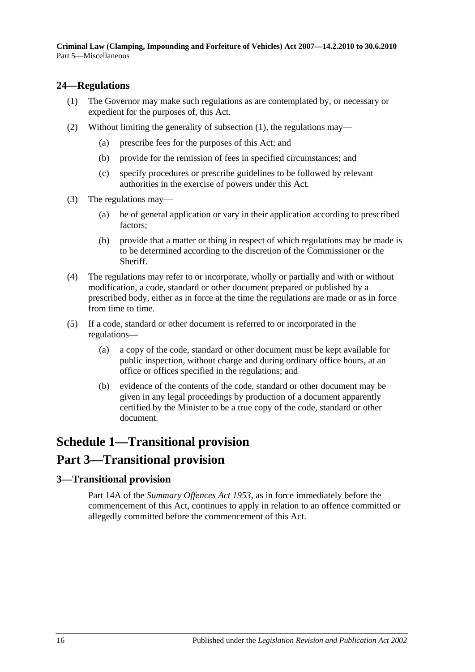### <span id="page-15-3"></span><span id="page-15-0"></span>**24—Regulations**

- (1) The Governor may make such regulations as are contemplated by, or necessary or expedient for the purposes of, this Act.
- (2) Without limiting the generality of [subsection](#page-15-3) (1), the regulations may—
	- (a) prescribe fees for the purposes of this Act; and
	- (b) provide for the remission of fees in specified circumstances; and
	- (c) specify procedures or prescribe guidelines to be followed by relevant authorities in the exercise of powers under this Act.
- (3) The regulations may—
	- (a) be of general application or vary in their application according to prescribed factors;
	- (b) provide that a matter or thing in respect of which regulations may be made is to be determined according to the discretion of the Commissioner or the **Sheriff**
- (4) The regulations may refer to or incorporate, wholly or partially and with or without modification, a code, standard or other document prepared or published by a prescribed body, either as in force at the time the regulations are made or as in force from time to time.
- (5) If a code, standard or other document is referred to or incorporated in the regulations—
	- (a) a copy of the code, standard or other document must be kept available for public inspection, without charge and during ordinary office hours, at an office or offices specified in the regulations; and
	- (b) evidence of the contents of the code, standard or other document may be given in any legal proceedings by production of a document apparently certified by the Minister to be a true copy of the code, standard or other document.

## <span id="page-15-1"></span>**Schedule 1—Transitional provision Part 3—Transitional provision**

### <span id="page-15-2"></span>**3—Transitional provision**

Part 14A of the *[Summary Offences Act](http://www.legislation.sa.gov.au/index.aspx?action=legref&type=act&legtitle=Summary%20Offences%20Act%201953) 1953*, as in force immediately before the commencement of this Act, continues to apply in relation to an offence committed or allegedly committed before the commencement of this Act.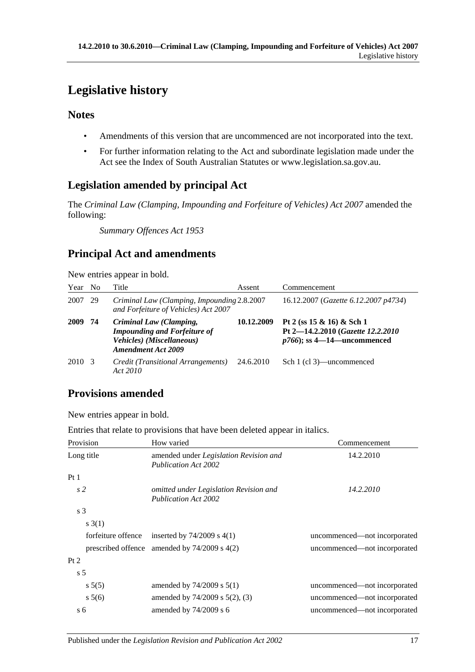## <span id="page-16-0"></span>**Legislative history**

### **Notes**

- Amendments of this version that are uncommenced are not incorporated into the text.
- For further information relating to the Act and subordinate legislation made under the Act see the Index of South Australian Statutes or www.legislation.sa.gov.au.

### **Legislation amended by principal Act**

The *Criminal Law (Clamping, Impounding and Forfeiture of Vehicles) Act 2007* amended the following:

*Summary Offences Act 1953*

### **Principal Act and amendments**

New entries appear in bold.

| Year | N <sub>0</sub> | Title                                                                                                                    | Assent     | Commencement                                                                                        |
|------|----------------|--------------------------------------------------------------------------------------------------------------------------|------------|-----------------------------------------------------------------------------------------------------|
| 2007 | 29             | Criminal Law (Clamping, Impounding 2.8.2007<br>and Forfeiture of Vehicles) Act 2007                                      |            | 16.12.2007 (Gazette 6.12.2007 p4734)                                                                |
| 2009 | 74             | Criminal Law (Clamping,<br><b>Impounding and Forfeiture of</b><br>Vehicles) (Miscellaneous)<br><b>Amendment Act 2009</b> | 10.12.2009 | Pt 2 (ss $15 \& 16$ ) & Sch 1<br>Pt 2-14.2.2010 (Gazette 12.2.2010)<br>$p766$ ; ss 4—14—uncommenced |
| 2010 | $\mathcal{R}$  | Credit (Transitional Arrangements)<br>Act 2010                                                                           | 24.6.2010  | Sch 1 (cl 3)—uncommenced                                                                            |

### **Provisions amended**

New entries appear in bold.

Entries that relate to provisions that have been deleted appear in italics.

| Provision          | How varied                                                                   | Commencement                 |  |
|--------------------|------------------------------------------------------------------------------|------------------------------|--|
| Long title         | amended under <i>Legislation Revision and</i><br><b>Publication Act 2002</b> | 14.2.2010                    |  |
| Pt1                |                                                                              |                              |  |
| s <sub>2</sub>     | omitted under Legislation Revision and<br><b>Publication Act 2002</b>        | 14.2.2010                    |  |
| s <sub>3</sub>     |                                                                              |                              |  |
| s(3(1))            |                                                                              |                              |  |
| forfeiture offence | inserted by $74/2009$ s $4(1)$                                               | uncommenced—not incorporated |  |
|                    | prescribed offence amended by $74/2009$ s $4(2)$                             | uncommenced—not incorporated |  |
| Pt 2               |                                                                              |                              |  |
| s <sub>5</sub>     |                                                                              |                              |  |
| $s\,5(5)$          | amended by $74/2009$ s $5(1)$                                                | uncommenced—not incorporated |  |
| $s\,5(6)$          | amended by $74/2009$ s $5(2)$ , (3)                                          | uncommenced—not incorporated |  |
| s <sub>6</sub>     | amended by $74/2009$ s 6                                                     | uncommenced—not incorporated |  |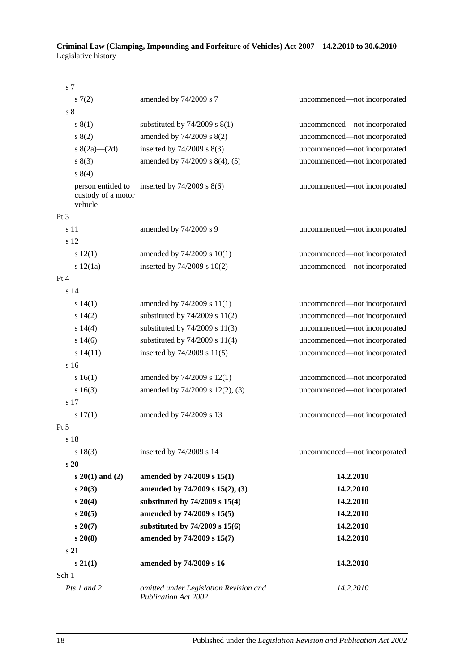#### **Criminal Law (Clamping, Impounding and Forfeiture of Vehicles) Act 2007—14.2.2010 to 30.6.2010** Legislative history

| s 7             |                                                     |                                                                       |                              |
|-----------------|-----------------------------------------------------|-----------------------------------------------------------------------|------------------------------|
|                 | s(7(2)                                              | amended by 74/2009 s 7                                                | uncommenced-not incorporated |
| $\sqrt{s}$ 8    |                                                     |                                                                       |                              |
|                 | s(1)                                                | substituted by $74/2009$ s $8(1)$                                     | uncommenced-not incorporated |
|                 | s(2)                                                | amended by 74/2009 s 8(2)                                             | uncommenced-not incorporated |
|                 | s $8(2a)$ (2d)                                      | inserted by $74/2009$ s $8(3)$                                        | uncommenced-not incorporated |
|                 | s(3)                                                | amended by 74/2009 s 8(4), (5)                                        | uncommenced-not incorporated |
|                 | s 8(4)                                              |                                                                       |                              |
|                 | person entitled to<br>custody of a motor<br>vehicle | inserted by $74/2009$ s $8(6)$                                        | uncommenced-not incorporated |
| Pt <sub>3</sub> |                                                     |                                                                       |                              |
|                 | s 11                                                | amended by 74/2009 s 9                                                | uncommenced-not incorporated |
|                 | s 12                                                |                                                                       |                              |
|                 | s 12(1)                                             | amended by 74/2009 s 10(1)                                            | uncommenced-not incorporated |
|                 | s 12(1a)                                            | inserted by $74/2009$ s $10(2)$                                       | uncommenced-not incorporated |
| Pt 4            |                                                     |                                                                       |                              |
|                 | s <sub>14</sub>                                     |                                                                       |                              |
|                 | $s\ 14(1)$                                          | amended by 74/2009 s 11(1)                                            | uncommenced-not incorporated |
|                 | $s\ 14(2)$                                          | substituted by $74/2009$ s $11(2)$                                    | uncommenced-not incorporated |
|                 | $s\ 14(4)$                                          | substituted by $74/2009$ s $11(3)$                                    | uncommenced-not incorporated |
|                 | $s\ 14(6)$                                          | substituted by $74/2009$ s $11(4)$                                    | uncommenced-not incorporated |
|                 | s14(11)                                             | inserted by $74/2009$ s $11(5)$                                       | uncommenced-not incorporated |
|                 | s 16                                                |                                                                       |                              |
|                 | s 16(1)                                             | amended by 74/2009 s 12(1)                                            | uncommenced-not incorporated |
|                 | $s\ 16(3)$                                          | amended by 74/2009 s 12(2), (3)                                       | uncommenced-not incorporated |
|                 | s 17                                                |                                                                       |                              |
|                 | s 17(1)                                             | amended by 74/2009 s 13                                               | uncommenced-not incorporated |
| Pt 5            |                                                     |                                                                       |                              |
|                 | s 18                                                |                                                                       |                              |
|                 | s 18(3)                                             | inserted by 74/2009 s 14                                              | uncommenced-not incorporated |
|                 | s <sub>20</sub>                                     |                                                                       |                              |
|                 | $s\ 20(1)$ and (2)                                  | amended by 74/2009 s 15(1)                                            | 14.2.2010                    |
|                 | $s\,20(3)$                                          | amended by 74/2009 s 15(2), (3)                                       | 14.2.2010                    |
|                 | $s\,20(4)$                                          | substituted by 74/2009 s 15(4)                                        | 14.2.2010                    |
|                 | $s\,20(5)$                                          | amended by 74/2009 s 15(5)                                            | 14.2.2010                    |
|                 | $s\,20(7)$                                          | substituted by 74/2009 s 15(6)                                        | 14.2.2010                    |
|                 | $s\,20(8)$                                          | amended by 74/2009 s 15(7)                                            | 14.2.2010                    |
|                 | s <sub>21</sub>                                     |                                                                       |                              |
|                 | $s\,21(1)$                                          | amended by 74/2009 s 16                                               | 14.2.2010                    |
| Sch 1           |                                                     |                                                                       |                              |
|                 | Pts 1 and 2                                         | omitted under Legislation Revision and<br><b>Publication Act 2002</b> | 14.2.2010                    |